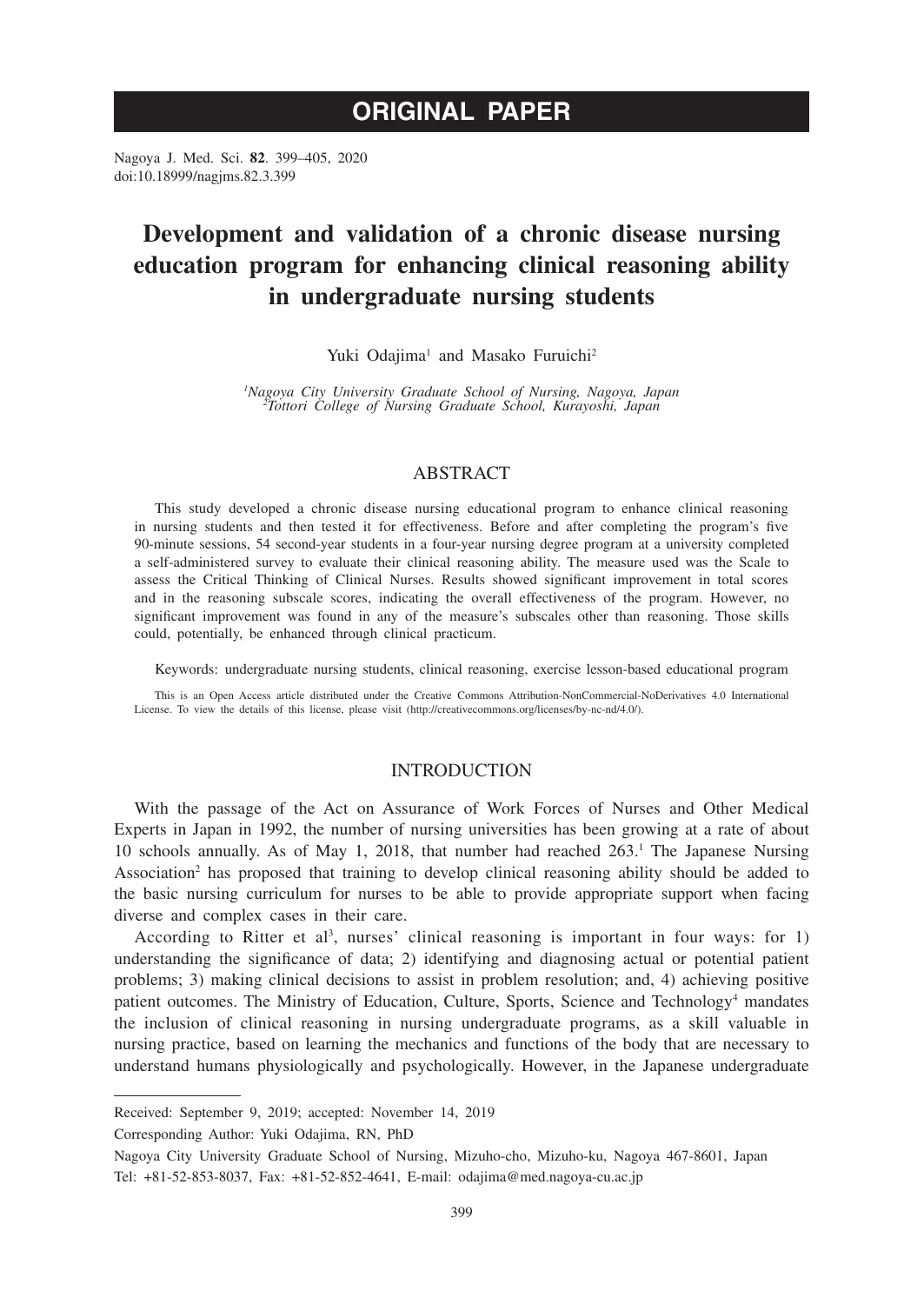# **ORIGINAL PAPER**

Nagoya J. Med. Sci. **82**. 399–405, 2020 doi:10.18999/nagjms.82.3.399

# **Development and validation of a chronic disease nursing education program for enhancing clinical reasoning ability in undergraduate nursing students**

Yuki Odajima<sup>1</sup> and Masako Furuichi<sup>2</sup>

*1 Nagoya City University Graduate School of Nursing, Nagoya, Japan <sup>2</sup> Tottori College of Nursing Graduate School, Kurayoshi, Japan*

## ABSTRACT

This study developed a chronic disease nursing educational program to enhance clinical reasoning in nursing students and then tested it for effectiveness. Before and after completing the program's five 90-minute sessions, 54 second-year students in a four-year nursing degree program at a university completed a self-administered survey to evaluate their clinical reasoning ability. The measure used was the Scale to assess the Critical Thinking of Clinical Nurses. Results showed significant improvement in total scores and in the reasoning subscale scores, indicating the overall effectiveness of the program. However, no significant improvement was found in any of the measure's subscales other than reasoning. Those skills could, potentially, be enhanced through clinical practicum.

Keywords: undergraduate nursing students, clinical reasoning, exercise lesson-based educational program

This is an Open Access article distributed under the Creative Commons Attribution-NonCommercial-NoDerivatives 4.0 International License. To view the details of this license, please visit (http://creativecommons.org/licenses/by-nc-nd/4.0/).

## INTRODUCTION

With the passage of the Act on Assurance of Work Forces of Nurses and Other Medical Experts in Japan in 1992, the number of nursing universities has been growing at a rate of about 10 schools annually. As of May 1, 2018, that number had reached 263.<sup>1</sup> The Japanese Nursing Association<sup>2</sup> has proposed that training to develop clinical reasoning ability should be added to the basic nursing curriculum for nurses to be able to provide appropriate support when facing diverse and complex cases in their care.

According to Ritter et al<sup>3</sup>, nurses' clinical reasoning is important in four ways: for 1) understanding the significance of data; 2) identifying and diagnosing actual or potential patient problems; 3) making clinical decisions to assist in problem resolution; and, 4) achieving positive patient outcomes. The Ministry of Education, Culture, Sports, Science and Technology<sup>4</sup> mandates the inclusion of clinical reasoning in nursing undergraduate programs, as a skill valuable in nursing practice, based on learning the mechanics and functions of the body that are necessary to understand humans physiologically and psychologically. However, in the Japanese undergraduate

Corresponding Author: Yuki Odajima, RN, PhD

Received: September 9, 2019; accepted: November 14, 2019

Nagoya City University Graduate School of Nursing, Mizuho-cho, Mizuho-ku, Nagoya 467-8601, Japan Tel: +81-52-853-8037, Fax: +81-52-852-4641, E-mail: odajima@med.nagoya-cu.ac.jp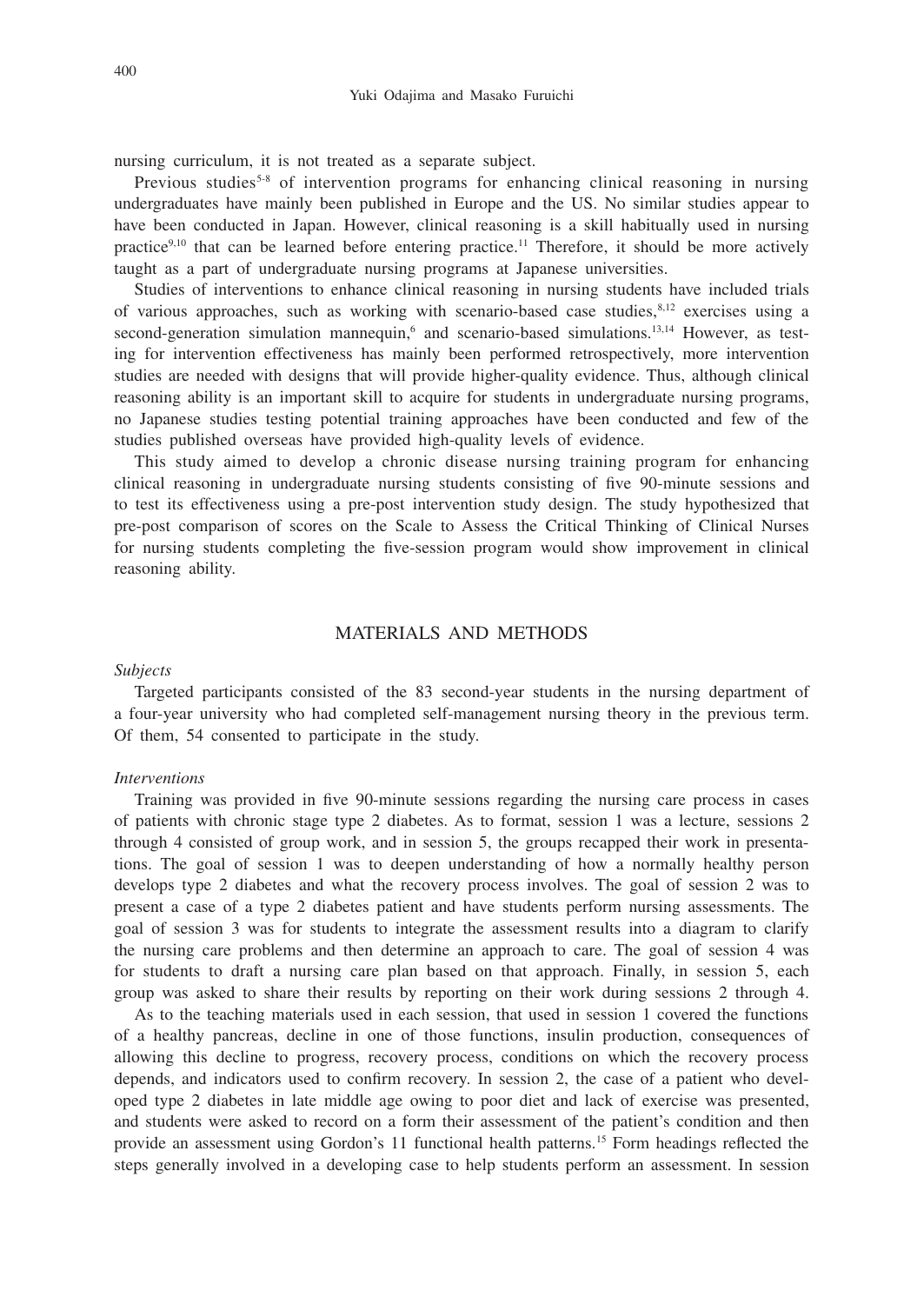nursing curriculum, it is not treated as a separate subject.

Previous studies<sup>5-8</sup> of intervention programs for enhancing clinical reasoning in nursing undergraduates have mainly been published in Europe and the US. No similar studies appear to have been conducted in Japan. However, clinical reasoning is a skill habitually used in nursing practice<sup>9,10</sup> that can be learned before entering practice.<sup>11</sup> Therefore, it should be more actively taught as a part of undergraduate nursing programs at Japanese universities.

Studies of interventions to enhance clinical reasoning in nursing students have included trials of various approaches, such as working with scenario-based case studies, $8,12$  exercises using a second-generation simulation mannequin,<sup>6</sup> and scenario-based simulations.<sup>13,14</sup> However, as testing for intervention effectiveness has mainly been performed retrospectively, more intervention studies are needed with designs that will provide higher-quality evidence. Thus, although clinical reasoning ability is an important skill to acquire for students in undergraduate nursing programs, no Japanese studies testing potential training approaches have been conducted and few of the studies published overseas have provided high-quality levels of evidence.

This study aimed to develop a chronic disease nursing training program for enhancing clinical reasoning in undergraduate nursing students consisting of five 90-minute sessions and to test its effectiveness using a pre-post intervention study design. The study hypothesized that pre-post comparison of scores on the Scale to Assess the Critical Thinking of Clinical Nurses for nursing students completing the five-session program would show improvement in clinical reasoning ability.

## MATERIALS AND METHODS

### *Subjects*

Targeted participants consisted of the 83 second-year students in the nursing department of a four-year university who had completed self-management nursing theory in the previous term. Of them, 54 consented to participate in the study.

#### *Interventions*

Training was provided in five 90-minute sessions regarding the nursing care process in cases of patients with chronic stage type 2 diabetes. As to format, session 1 was a lecture, sessions 2 through 4 consisted of group work, and in session 5, the groups recapped their work in presentations. The goal of session 1 was to deepen understanding of how a normally healthy person develops type 2 diabetes and what the recovery process involves. The goal of session 2 was to present a case of a type 2 diabetes patient and have students perform nursing assessments. The goal of session 3 was for students to integrate the assessment results into a diagram to clarify the nursing care problems and then determine an approach to care. The goal of session 4 was for students to draft a nursing care plan based on that approach. Finally, in session 5, each group was asked to share their results by reporting on their work during sessions 2 through 4.

As to the teaching materials used in each session, that used in session 1 covered the functions of a healthy pancreas, decline in one of those functions, insulin production, consequences of allowing this decline to progress, recovery process, conditions on which the recovery process depends, and indicators used to confirm recovery. In session 2, the case of a patient who developed type 2 diabetes in late middle age owing to poor diet and lack of exercise was presented, and students were asked to record on a form their assessment of the patient's condition and then provide an assessment using Gordon's 11 functional health patterns.15 Form headings reflected the steps generally involved in a developing case to help students perform an assessment. In session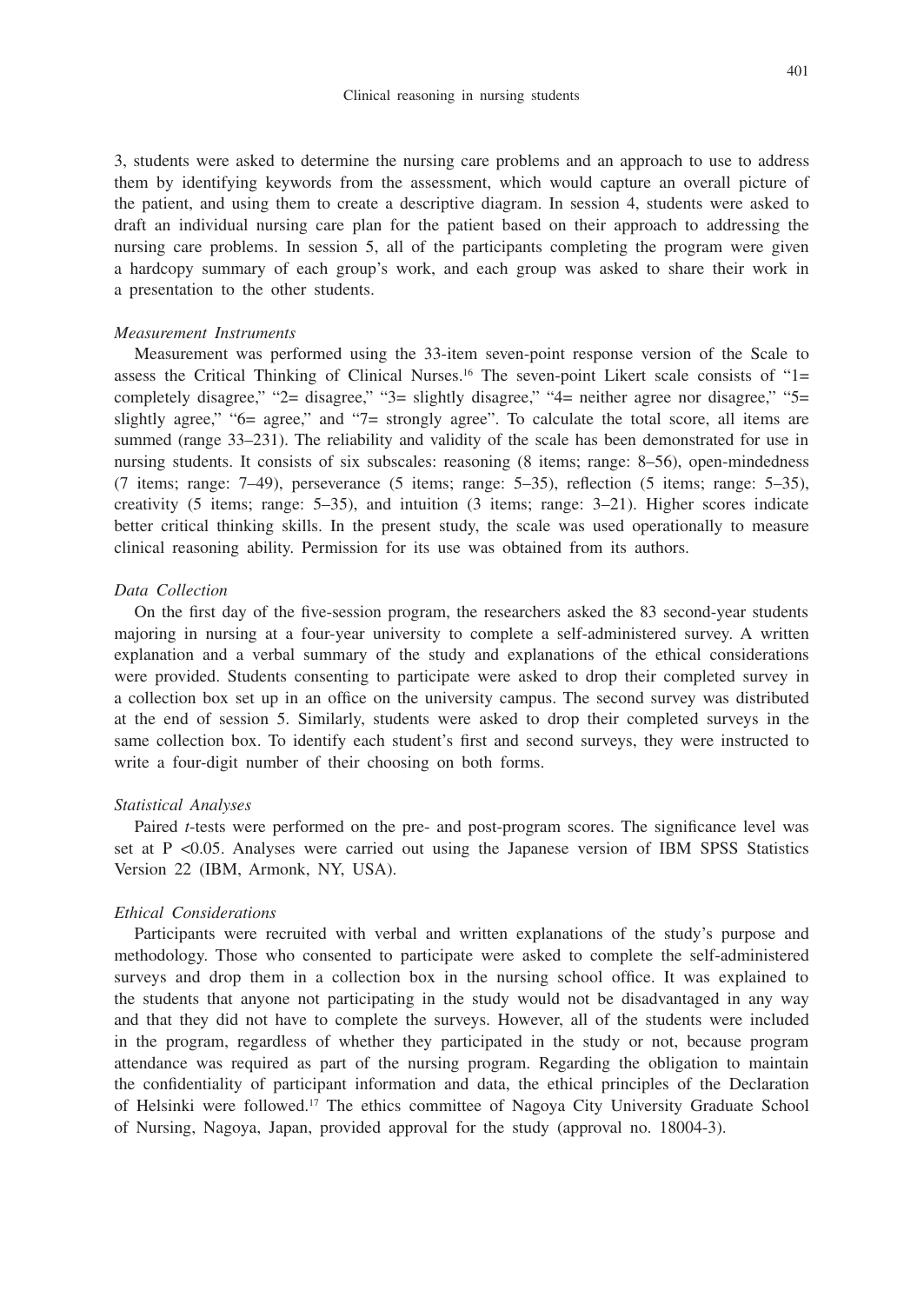#### Clinical reasoning in nursing students

3, students were asked to determine the nursing care problems and an approach to use to address them by identifying keywords from the assessment, which would capture an overall picture of the patient, and using them to create a descriptive diagram. In session 4, students were asked to draft an individual nursing care plan for the patient based on their approach to addressing the nursing care problems. In session 5, all of the participants completing the program were given a hardcopy summary of each group's work, and each group was asked to share their work in a presentation to the other students.

## *Measurement Instruments*

Measurement was performed using the 33-item seven-point response version of the Scale to assess the Critical Thinking of Clinical Nurses.<sup>16</sup> The seven-point Likert scale consists of " $1=$ completely disagree," "2= disagree," "3= slightly disagree," "4= neither agree nor disagree," "5= slightly agree," "6= agree," and "7= strongly agree". To calculate the total score, all items are summed (range 33–231). The reliability and validity of the scale has been demonstrated for use in nursing students. It consists of six subscales: reasoning (8 items; range: 8–56), open-mindedness (7 items; range: 7–49), perseverance (5 items; range: 5–35), reflection (5 items; range: 5–35), creativity (5 items; range: 5–35), and intuition (3 items; range: 3–21). Higher scores indicate better critical thinking skills. In the present study, the scale was used operationally to measure clinical reasoning ability. Permission for its use was obtained from its authors.

### *Data Collection*

On the first day of the five-session program, the researchers asked the 83 second-year students majoring in nursing at a four-year university to complete a self-administered survey. A written explanation and a verbal summary of the study and explanations of the ethical considerations were provided. Students consenting to participate were asked to drop their completed survey in a collection box set up in an office on the university campus. The second survey was distributed at the end of session 5. Similarly, students were asked to drop their completed surveys in the same collection box. To identify each student's first and second surveys, they were instructed to write a four-digit number of their choosing on both forms.

#### *Statistical Analyses*

Paired *t*-tests were performed on the pre- and post-program scores. The significance level was set at  $P \le 0.05$ . Analyses were carried out using the Japanese version of IBM SPSS Statistics Version 22 (IBM, Armonk, NY, USA).

## *Ethical Considerations*

Participants were recruited with verbal and written explanations of the study's purpose and methodology. Those who consented to participate were asked to complete the self-administered surveys and drop them in a collection box in the nursing school office. It was explained to the students that anyone not participating in the study would not be disadvantaged in any way and that they did not have to complete the surveys. However, all of the students were included in the program, regardless of whether they participated in the study or not, because program attendance was required as part of the nursing program. Regarding the obligation to maintain the confidentiality of participant information and data, the ethical principles of the Declaration of Helsinki were followed.17 The ethics committee of Nagoya City University Graduate School of Nursing, Nagoya, Japan, provided approval for the study (approval no. 18004-3).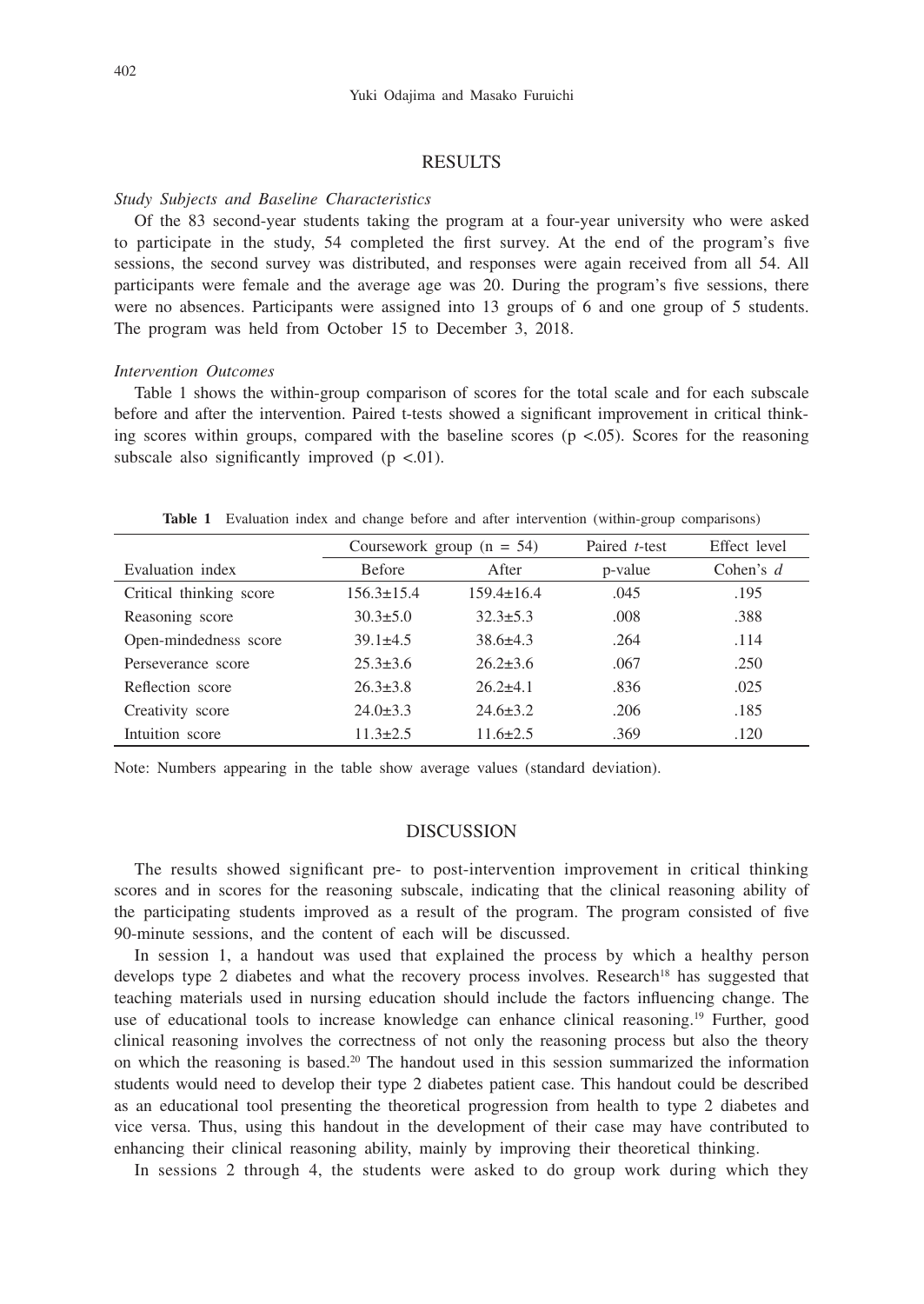## **RESULTS**

#### *Study Subjects and Baseline Characteristics*

Of the 83 second-year students taking the program at a four-year university who were asked to participate in the study, 54 completed the first survey. At the end of the program's five sessions, the second survey was distributed, and responses were again received from all 54. All participants were female and the average age was 20. During the program's five sessions, there were no absences. Participants were assigned into 13 groups of 6 and one group of 5 students. The program was held from October 15 to December 3, 2018.

#### *Intervention Outcomes*

Table 1 shows the within-group comparison of scores for the total scale and for each subscale before and after the intervention. Paired t-tests showed a significant improvement in critical thinking scores within groups, compared with the baseline scores ( $p \lt 0.05$ ). Scores for the reasoning subscale also significantly improved  $(p \lt 0.01)$ .

**Table 1** Evaluation index and change before and after intervention (within-group comparisons)

|                         | Coursework group $(n = 54)$ |                  | Paired t-test | Effect level |
|-------------------------|-----------------------------|------------------|---------------|--------------|
| Evaluation index        | <b>Before</b>               | After            | p-value       | Cohen's $d$  |
| Critical thinking score | $156.3 \pm 15.4$            | $159.4 \pm 16.4$ | .045          | .195         |
| Reasoning score         | $30.3 \pm 5.0$              | $32.3 \pm 5.3$   | .008          | .388         |
| Open-mindedness score   | $39.1 \pm 4.5$              | $38.6 \pm 4.3$   | .264          | .114         |
| Perseverance score      | $25.3 \pm 3.6$              | $26.2 \pm 3.6$   | .067          | .250         |
| Reflection score        | $26.3 \pm 3.8$              | $26.2\pm4.1$     | .836          | .025         |
| Creativity score        | $24.0 \pm 3.3$              | $24.6 \pm 3.2$   | .206          | .185         |
| Intuition score         | $11.3 \pm 2.5$              | $11.6 \pm 2.5$   | .369          | .120         |

Note: Numbers appearing in the table show average values (standard deviation).

## **DISCUSSION**

The results showed significant pre- to post-intervention improvement in critical thinking scores and in scores for the reasoning subscale, indicating that the clinical reasoning ability of the participating students improved as a result of the program. The program consisted of five 90-minute sessions, and the content of each will be discussed.

In session 1, a handout was used that explained the process by which a healthy person develops type 2 diabetes and what the recovery process involves. Research<sup>18</sup> has suggested that teaching materials used in nursing education should include the factors influencing change. The use of educational tools to increase knowledge can enhance clinical reasoning.<sup>19</sup> Further, good clinical reasoning involves the correctness of not only the reasoning process but also the theory on which the reasoning is based.<sup>20</sup> The handout used in this session summarized the information students would need to develop their type 2 diabetes patient case. This handout could be described as an educational tool presenting the theoretical progression from health to type 2 diabetes and vice versa. Thus, using this handout in the development of their case may have contributed to enhancing their clinical reasoning ability, mainly by improving their theoretical thinking.

In sessions 2 through 4, the students were asked to do group work during which they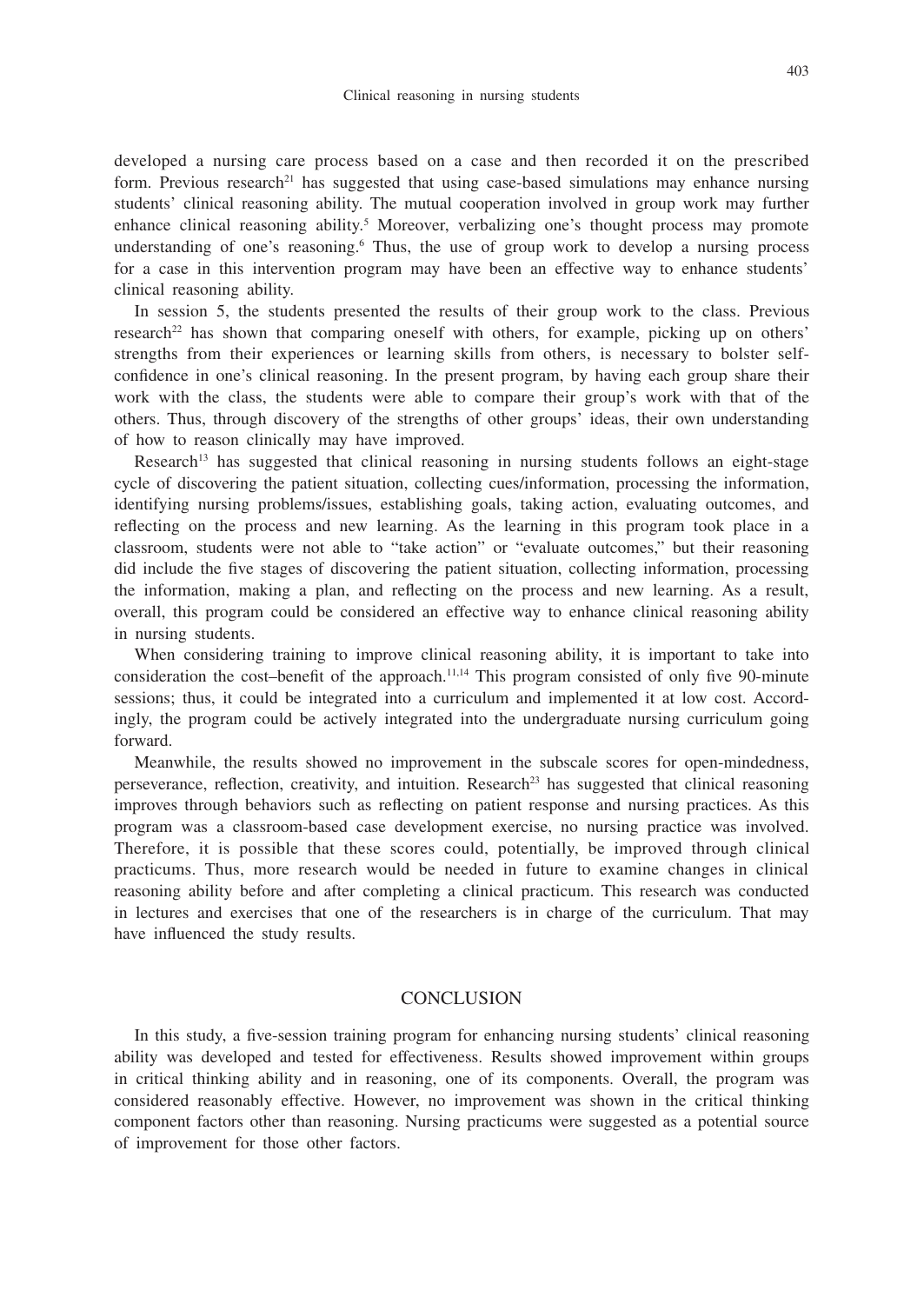developed a nursing care process based on a case and then recorded it on the prescribed form. Previous research<sup>21</sup> has suggested that using case-based simulations may enhance nursing students' clinical reasoning ability. The mutual cooperation involved in group work may further enhance clinical reasoning ability.<sup>5</sup> Moreover, verbalizing one's thought process may promote understanding of one's reasoning.<sup>6</sup> Thus, the use of group work to develop a nursing process for a case in this intervention program may have been an effective way to enhance students' clinical reasoning ability.

In session 5, the students presented the results of their group work to the class. Previous research<sup>22</sup> has shown that comparing oneself with others, for example, picking up on others' strengths from their experiences or learning skills from others, is necessary to bolster selfconfidence in one's clinical reasoning. In the present program, by having each group share their work with the class, the students were able to compare their group's work with that of the others. Thus, through discovery of the strengths of other groups' ideas, their own understanding of how to reason clinically may have improved.

Research<sup>13</sup> has suggested that clinical reasoning in nursing students follows an eight-stage cycle of discovering the patient situation, collecting cues/information, processing the information, identifying nursing problems/issues, establishing goals, taking action, evaluating outcomes, and reflecting on the process and new learning. As the learning in this program took place in a classroom, students were not able to "take action" or "evaluate outcomes," but their reasoning did include the five stages of discovering the patient situation, collecting information, processing the information, making a plan, and reflecting on the process and new learning. As a result, overall, this program could be considered an effective way to enhance clinical reasoning ability in nursing students.

When considering training to improve clinical reasoning ability, it is important to take into consideration the cost–benefit of the approach.<sup>11,14</sup> This program consisted of only five 90-minute sessions; thus, it could be integrated into a curriculum and implemented it at low cost. Accordingly, the program could be actively integrated into the undergraduate nursing curriculum going forward.

Meanwhile, the results showed no improvement in the subscale scores for open-mindedness, perseverance, reflection, creativity, and intuition. Research<sup>23</sup> has suggested that clinical reasoning improves through behaviors such as reflecting on patient response and nursing practices. As this program was a classroom-based case development exercise, no nursing practice was involved. Therefore, it is possible that these scores could, potentially, be improved through clinical practicums. Thus, more research would be needed in future to examine changes in clinical reasoning ability before and after completing a clinical practicum. This research was conducted in lectures and exercises that one of the researchers is in charge of the curriculum. That may have influenced the study results.

## **CONCLUSION**

In this study, a five-session training program for enhancing nursing students' clinical reasoning ability was developed and tested for effectiveness. Results showed improvement within groups in critical thinking ability and in reasoning, one of its components. Overall, the program was considered reasonably effective. However, no improvement was shown in the critical thinking component factors other than reasoning. Nursing practicums were suggested as a potential source of improvement for those other factors.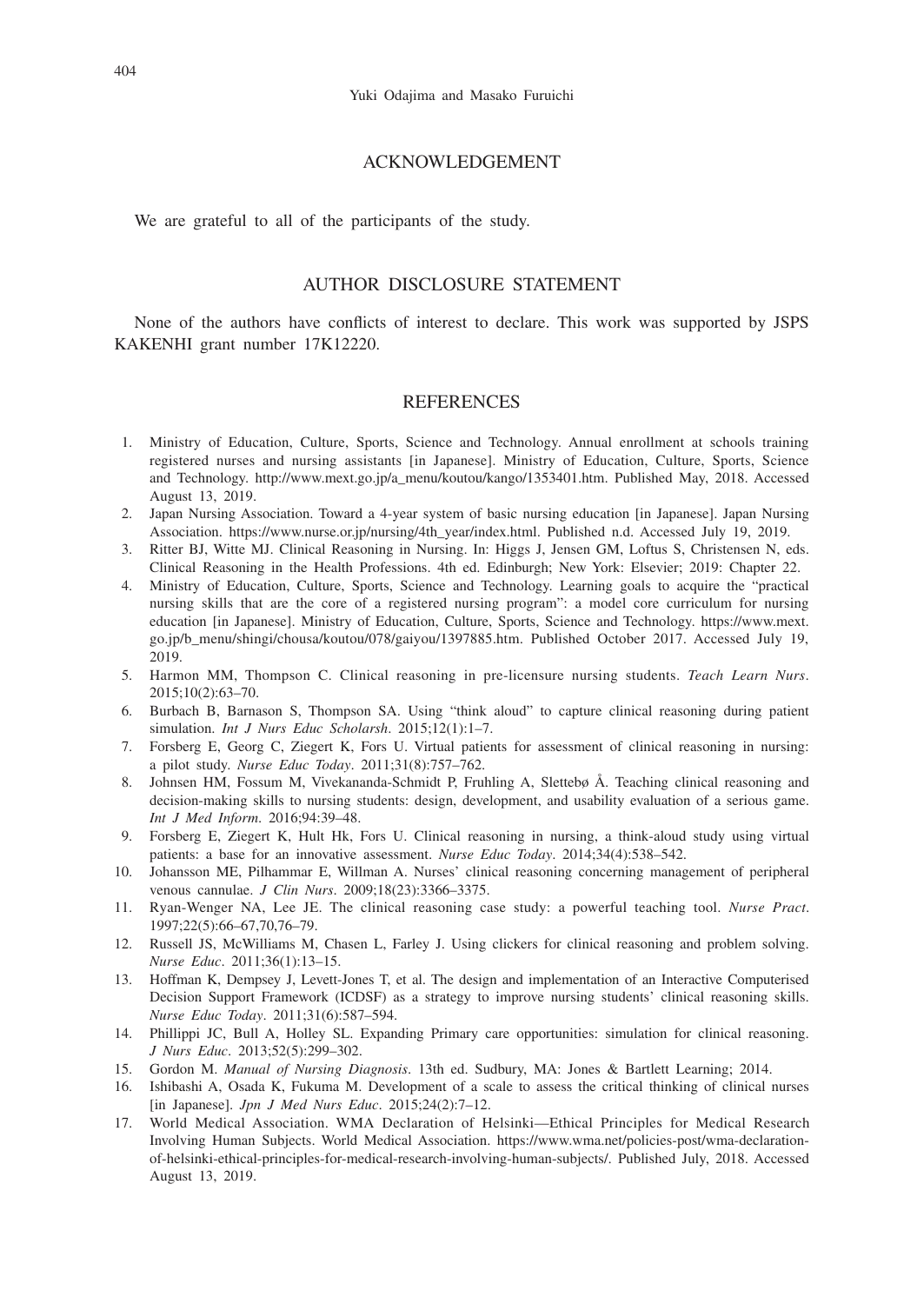## ACKNOWLEDGEMENT

We are grateful to all of the participants of the study.

## AUTHOR DISCLOSURE STATEMENT

None of the authors have conflicts of interest to declare. This work was supported by JSPS KAKENHI grant number 17K12220.

## **REFERENCES**

- 1. Ministry of Education, Culture, Sports, Science and Technology. Annual enrollment at schools training registered nurses and nursing assistants [in Japanese]. Ministry of Education, Culture, Sports, Science and Technology. http://www.mext.go.jp/a\_menu/koutou/kango/1353401.htm. Published May, 2018. Accessed August 13, 2019.
- 2. Japan Nursing Association. Toward a 4-year system of basic nursing education [in Japanese]. Japan Nursing Association. https://www.nurse.or.jp/nursing/4th\_year/index.html. Published n.d. Accessed July 19, 2019.
- 3. Ritter BJ, Witte MJ. Clinical Reasoning in Nursing. In: Higgs J, Jensen GM, Loftus S, Christensen N, eds. Clinical Reasoning in the Health Professions. 4th ed. Edinburgh; New York: Elsevier; 2019: Chapter 22.
- 4. Ministry of Education, Culture, Sports, Science and Technology. Learning goals to acquire the "practical nursing skills that are the core of a registered nursing program": a model core curriculum for nursing education [in Japanese]. Ministry of Education, Culture, Sports, Science and Technology. https://www.mext. go.jp/b\_menu/shingi/chousa/koutou/078/gaiyou/1397885.htm. Published October 2017. Accessed July 19, 2019.
- 5. Harmon MM, Thompson C. Clinical reasoning in pre-licensure nursing students. *Teach Learn Nurs*. 2015;10(2):63–70.
- 6. Burbach B, Barnason S, Thompson SA. Using "think aloud" to capture clinical reasoning during patient simulation. *Int J Nurs Educ Scholarsh*. 2015;12(1):1–7.
- 7. Forsberg E, Georg C, Ziegert K, Fors U. Virtual patients for assessment of clinical reasoning in nursing: a pilot study. *Nurse Educ Today*. 2011;31(8):757–762.
- 8. Johnsen HM, Fossum M, Vivekananda-Schmidt P, Fruhling A, Slettebø Å. Teaching clinical reasoning and decision-making skills to nursing students: design, development, and usability evaluation of a serious game. *Int J Med Inform*. 2016;94:39–48.
- 9. Forsberg E, Ziegert K, Hult Hk, Fors U. Clinical reasoning in nursing, a think-aloud study using virtual patients: a base for an innovative assessment. *Nurse Educ Today*. 2014;34(4):538–542.
- 10. Johansson ME, Pilhammar E, Willman A. Nurses' clinical reasoning concerning management of peripheral venous cannulae. *J Clin Nurs*. 2009;18(23):3366–3375.
- 11. Ryan-Wenger NA, Lee JE. The clinical reasoning case study: a powerful teaching tool. *Nurse Pract*. 1997;22(5):66–67,70,76–79.
- 12. Russell JS, McWilliams M, Chasen L, Farley J. Using clickers for clinical reasoning and problem solving. *Nurse Educ*. 2011;36(1):13–15.
- 13. Hoffman K, Dempsey J, Levett-Jones T, et al. The design and implementation of an Interactive Computerised Decision Support Framework (ICDSF) as a strategy to improve nursing students' clinical reasoning skills. *Nurse Educ Today*. 2011;31(6):587–594.
- 14. Phillippi JC, Bull A, Holley SL. Expanding Primary care opportunities: simulation for clinical reasoning. *J Nurs Educ*. 2013;52(5):299–302.
- 15. Gordon M. *Manual of Nursing Diagnosis*. 13th ed. Sudbury, MA: Jones & Bartlett Learning; 2014.
- 16. Ishibashi A, Osada K, Fukuma M. Development of a scale to assess the critical thinking of clinical nurses [in Japanese]. *Jpn J Med Nurs Educ*. 2015;24(2):7–12.
- 17. World Medical Association. WMA Declaration of Helsinki—Ethical Principles for Medical Research Involving Human Subjects. World Medical Association. https://www.wma.net/policies-post/wma-declarationof-helsinki-ethical-principles-for-medical-research-involving-human-subjects/. Published July, 2018. Accessed August 13, 2019.